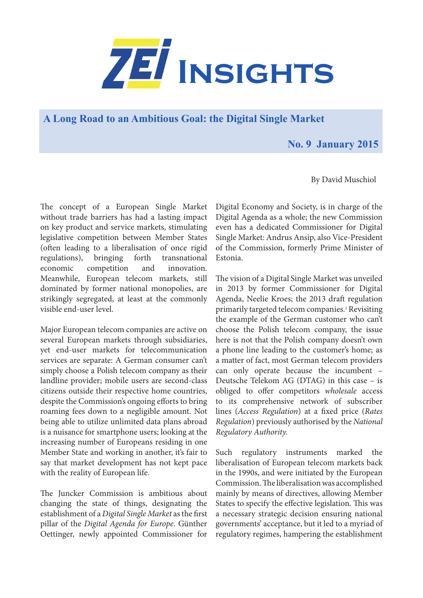

**A Long Road to an Ambitious Goal: the Digital Single Market**

## **No. 9 January 2015**

By David Muschiol

The concept of a European Single Market without trade barriers has had a lasting impact on key product and service markets, stimulating legislative competition between Member States (often leading to a liberalisation of once rigid regulations), bringing forth transnational economic competition and innovation. Meanwhile, European telecom markets, still dominated by former national monopolies, are strikingly segregated, at least at the commonly visible end-user level.

Major European telecom companies are active on several European markets through subsidiaries, yet end-user markets for telecommunication services are separate: A German consumer can't simply choose a Polish telecom company as their landline provider; mobile users are second-class citizens outside their respective home countries, despite the Commission's ongoing efforts to bring roaming fees down to a negligible amount. Not being able to utilize unlimited data plans abroad is a nuisance for smartphone users; looking at the increasing number of Europeans residing in one Member State and working in another, it's fair to say that market development has not kept pace with the reality of European life.

The Juncker Commission is ambitious about changing the state of things, designating the establishment of a *Digital Single Market* as the first pillar of the *Digital Agenda for Europe*. Günther Oettinger, newly appointed Commissioner for Digital Economy and Society, is in charge of the Digital Agenda as a whole; the new Commission even has a dedicated Commissioner for Digital Single Market: Andrus Ansip, also Vice-President of the Commission, formerly Prime Minister of Estonia.

The vision of a Digital Single Market was unveiled in 2013 by former Commissioner for Digital Agenda, Neelie Kroes; the 2013 draft regulation primarily targeted telecom companies.<sup>1</sup> Revisiting the example of the German customer who can't choose the Polish telecom company, the issue here is not that the Polish company doesn't own a phone line leading to the customer's home; as a matter of fact, most German telecom providers can only operate because the incumbent – Deutsche Telekom AG (DTAG) in this case – is obliged to offer competitors *wholesale* access to its comprehensive network of subscriber lines (*Access Regulation*) at a fixed price (*Rates Regulation*) previously authorised by the *National Regulatory Authority.*

Such regulatory instruments marked the liberalisation of European telecom markets back in the 1990s, and were initiated by the European Commission. The liberalisation was accomplished mainly by means of directives, allowing Member States to specify the effective legislation. This was a necessary strategic decision ensuring national governments' acceptance, but it led to a myriad of regulatory regimes, hampering the establishment